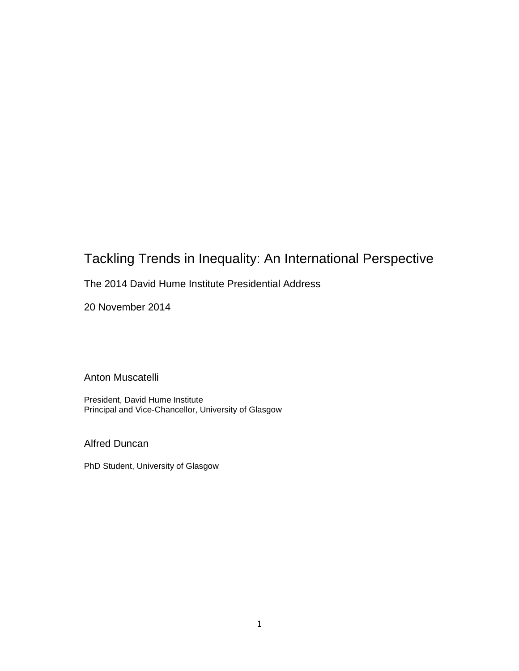## Tackling Trends in Inequality: An International Perspective

## The 2014 David Hume Institute Presidential Address

20 November 2014

Anton Muscatelli

President, David Hume Institute Principal and Vice-Chancellor, University of Glasgow

Alfred Duncan

PhD Student, University of Glasgow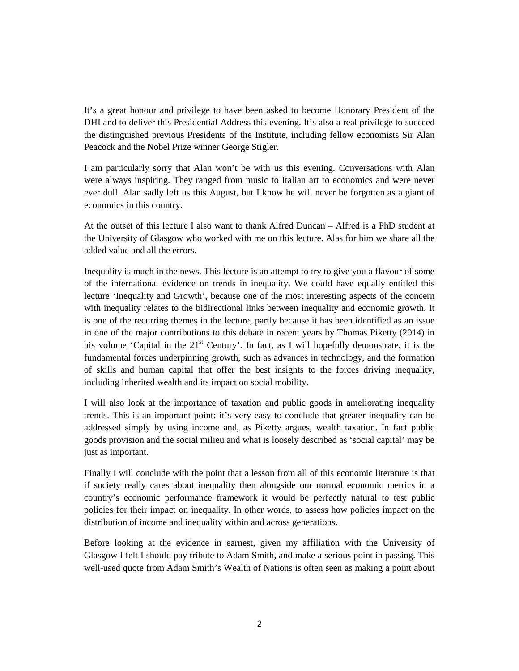It's a great honour and privilege to have been asked to become Honorary President of the DHI and to deliver this Presidential Address this evening. It's also a real privilege to succeed the distinguished previous Presidents of the Institute, including fellow economists Sir Alan Peacock and the Nobel Prize winner George Stigler.

I am particularly sorry that Alan won't be with us this evening. Conversations with Alan were always inspiring. They ranged from music to Italian art to economics and were never ever dull. Alan sadly left us this August, but I know he will never be forgotten as a giant of economics in this country.

At the outset of this lecture I also want to thank Alfred Duncan – Alfred is a PhD student at the University of Glasgow who worked with me on this lecture. Alas for him we share all the added value and all the errors.

Inequality is much in the news. This lecture is an attempt to try to give you a flavour of some of the international evidence on trends in inequality. We could have equally entitled this lecture 'Inequality and Growth', because one of the most interesting aspects of the concern with inequality relates to the bidirectional links between inequality and economic growth. It is one of the recurring themes in the lecture, partly because it has been identified as an issue in one of the major contributions to this debate in recent years by Thomas Piketty (2014) in his volume 'Capital in the 21<sup>st</sup> Century'. In fact, as I will hopefully demonstrate, it is the fundamental forces underpinning growth, such as advances in technology, and the formation of skills and human capital that offer the best insights to the forces driving inequality, including inherited wealth and its impact on social mobility.

I will also look at the importance of taxation and public goods in ameliorating inequality trends. This is an important point: it's very easy to conclude that greater inequality can be addressed simply by using income and, as Piketty argues, wealth taxation. In fact public goods provision and the social milieu and what is loosely described as 'social capital' may be just as important.

Finally I will conclude with the point that a lesson from all of this economic literature is that if society really cares about inequality then alongside our normal economic metrics in a country's economic performance framework it would be perfectly natural to test public policies for their impact on inequality. In other words, to assess how policies impact on the distribution of income and inequality within and across generations.

Before looking at the evidence in earnest, given my affiliation with the University of Glasgow I felt I should pay tribute to Adam Smith, and make a serious point in passing. This well-used quote from Adam Smith's Wealth of Nations is often seen as making a point about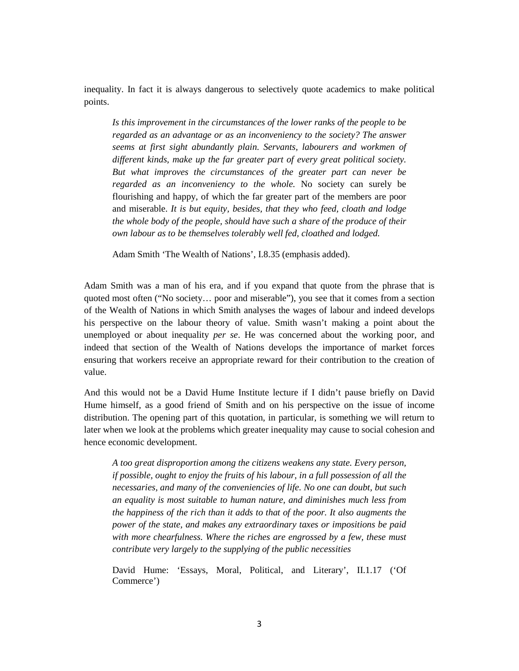inequality. In fact it is always dangerous to selectively quote academics to make political points.

*Is this improvement in the circumstances of the lower ranks of the people to be regarded as an advantage or as an inconveniency to the society? The answer seems at first sight abundantly plain. Servants, labourers and workmen of different kinds, make up the far greater part of every great political society. But what improves the circumstances of the greater part can never be regarded as an inconveniency to the whole.* No society can surely be flourishing and happy, of which the far greater part of the members are poor and miserable. *It is but equity, besides, that they who feed, cloath and lodge the whole body of the people, should have such a share of the produce of their own labour as to be themselves tolerably well fed, cloathed and lodged.*

Adam Smith 'The Wealth of Nations', I.8.35 (emphasis added).

Adam Smith was a man of his era, and if you expand that quote from the phrase that is quoted most often ("No society… poor and miserable"), you see that it comes from a section of the Wealth of Nations in which Smith analyses the wages of labour and indeed develops his perspective on the labour theory of value. Smith wasn't making a point about the unemployed or about inequality *per se*. He was concerned about the working poor, and indeed that section of the Wealth of Nations develops the importance of market forces ensuring that workers receive an appropriate reward for their contribution to the creation of value.

And this would not be a David Hume Institute lecture if I didn't pause briefly on David Hume himself, as a good friend of Smith and on his perspective on the issue of income distribution. The opening part of this quotation, in particular, is something we will return to later when we look at the problems which greater inequality may cause to social cohesion and hence economic development.

*A too great disproportion among the citizens weakens any state. Every person, if possible, ought to enjoy the fruits of his labour, in a full possession of all the necessaries, and many of the conveniencies of life. No one can doubt, but such an equality is most suitable to human nature, and diminishes much less from the happiness of the rich than it adds to that of the poor. It also augments the power of the state, and makes any extraordinary taxes or impositions be paid with more chearfulness. Where the riches are engrossed by a few, these must contribute very largely to the supplying of the public necessities*

David Hume: 'Essays, Moral, Political, and Literary', II.1.17 ('Of Commerce')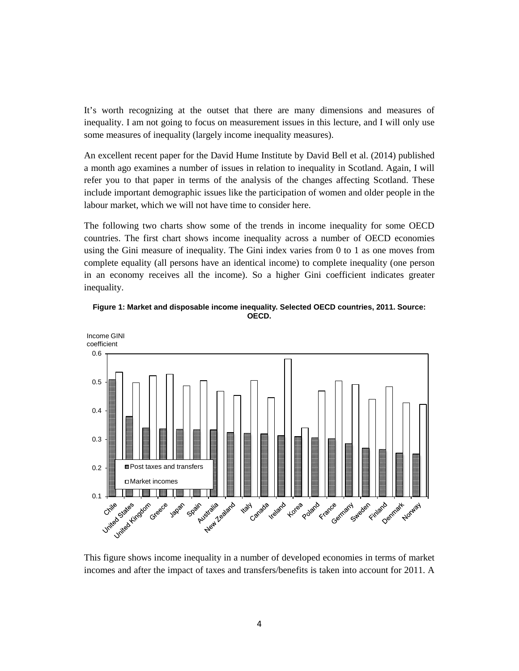It's worth recognizing at the outset that there are many dimensions and measures of inequality. I am not going to focus on measurement issues in this lecture, and I will only use some measures of inequality (largely income inequality measures).

An excellent recent paper for the David Hume Institute by David Bell et al. (2014) published a month ago examines a number of issues in relation to inequality in Scotland. Again, I will refer you to that paper in terms of the analysis of the changes affecting Scotland. These include important demographic issues like the participation of women and older people in the labour market, which we will not have time to consider here.

The following two charts show some of the trends in income inequality for some OECD countries. The first chart shows income inequality across a number of OECD economies using the Gini measure of inequality. The Gini index varies from 0 to 1 as one moves from complete equality (all persons have an identical income) to complete inequality (one person in an economy receives all the income). So a higher Gini coefficient indicates greater inequality.





This figure shows income inequality in a number of developed economies in terms of market incomes and after the impact of taxes and transfers/benefits is taken into account for 2011. A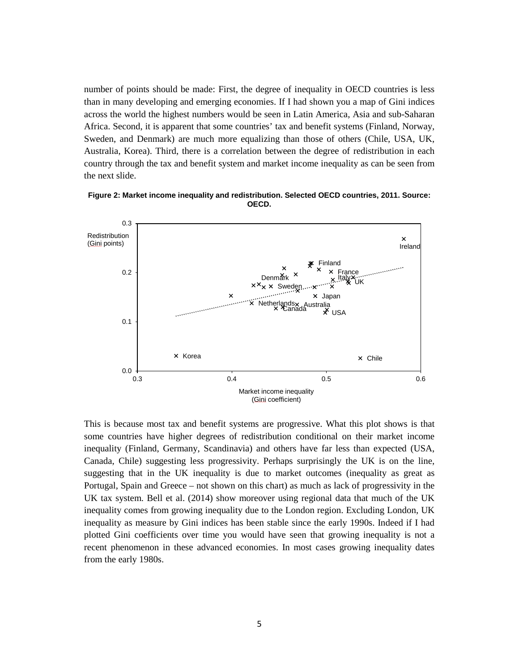number of points should be made: First, the degree of inequality in OECD countries is less than in many developing and emerging economies. If I had shown you a map of Gini indices across the world the highest numbers would be seen in Latin America, Asia and sub-Saharan Africa. Second, it is apparent that some countries' tax and benefit systems (Finland, Norway, Sweden, and Denmark) are much more equalizing than those of others (Chile, USA, UK, Australia, Korea). Third, there is a correlation between the degree of redistribution in each country through the tax and benefit system and market income inequality as can be seen from the next slide.





This is because most tax and benefit systems are progressive. What this plot shows is that some countries have higher degrees of redistribution conditional on their market income inequality (Finland, Germany, Scandinavia) and others have far less than expected (USA, Canada, Chile) suggesting less progressivity. Perhaps surprisingly the UK is on the line, suggesting that in the UK inequality is due to market outcomes (inequality as great as Portugal, Spain and Greece – not shown on this chart) as much as lack of progressivity in the UK tax system. Bell et al. (2014) show moreover using regional data that much of the UK inequality comes from growing inequality due to the London region. Excluding London, UK inequality as measure by Gini indices has been stable since the early 1990s. Indeed if I had plotted Gini coefficients over time you would have seen that growing inequality is not a recent phenomenon in these advanced economies. In most cases growing inequality dates from the early 1980s.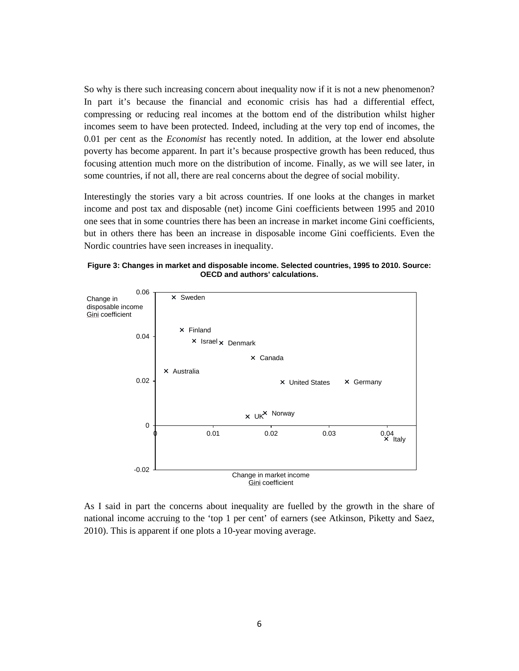So why is there such increasing concern about inequality now if it is not a new phenomenon? In part it's because the financial and economic crisis has had a differential effect, compressing or reducing real incomes at the bottom end of the distribution whilst higher incomes seem to have been protected. Indeed, including at the very top end of incomes, the 0.01 per cent as the *Economist* has recently noted. In addition, at the lower end absolute poverty has become apparent. In part it's because prospective growth has been reduced, thus focusing attention much more on the distribution of income. Finally, as we will see later, in some countries, if not all, there are real concerns about the degree of social mobility.

Interestingly the stories vary a bit across countries. If one looks at the changes in market income and post tax and disposable (net) income Gini coefficients between 1995 and 2010 one sees that in some countries there has been an increase in market income Gini coefficients, but in others there has been an increase in disposable income Gini coefficients. Even the Nordic countries have seen increases in inequality.





As I said in part the concerns about inequality are fuelled by the growth in the share of national income accruing to the 'top 1 per cent' of earners (see Atkinson, Piketty and Saez, 2010). This is apparent if one plots a 10-year moving average.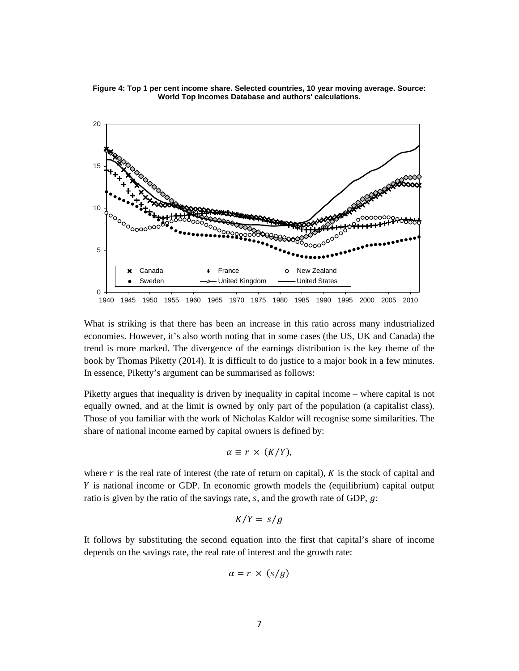



What is striking is that there has been an increase in this ratio across many industrialized economies. However, it's also worth noting that in some cases (the US, UK and Canada) the trend is more marked. The divergence of the earnings distribution is the key theme of the book by Thomas Piketty (2014). It is difficult to do justice to a major book in a few minutes. In essence, Piketty's argument can be summarised as follows:

Piketty argues that inequality is driven by inequality in capital income – where capital is not equally owned, and at the limit is owned by only part of the population (a capitalist class). Those of you familiar with the work of Nicholas Kaldor will recognise some similarities. The share of national income earned by capital owners is defined by:

$$
\alpha \equiv r \times (K/Y),
$$

where  $r$  is the real rate of interest (the rate of return on capital),  $K$  is the stock of capital and is national income or GDP. In economic growth models the (equilibrium) capital output ratio is given by the ratio of the savings rate,  $s$ , and the growth rate of GDP,  $g$ :

$$
K/Y = s/g
$$

It follows by substituting the second equation into the first that capital's share of income depends on the savings rate, the real rate of interest and the growth rate:

$$
\alpha = r \times (s/g)
$$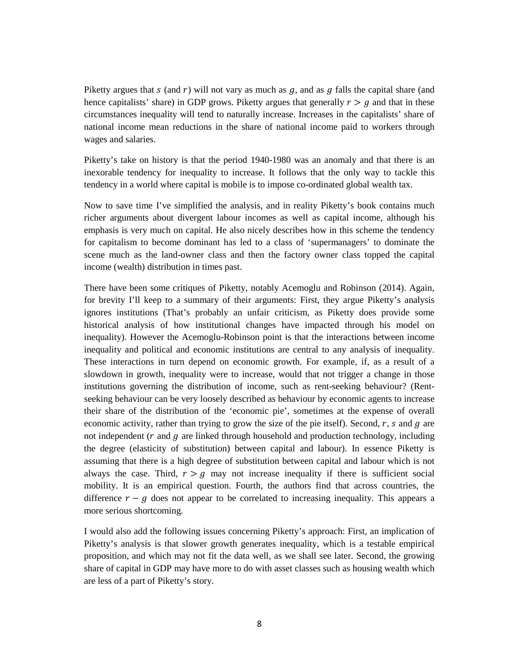Piketty argues that  $s$  (and  $r$ ) will not vary as much as  $g$ , and as  $g$  falls the capital share (and hence capitalists' share) in GDP grows. Piketty argues that generally  $r > g$  and that in these circumstances inequality will tend to naturally increase. Increases in the capitalists' share of national income mean reductions in the share of national income paid to workers through wages and salaries.

Piketty's take on history is that the period 1940-1980 was an anomaly and that there is an inexorable tendency for inequality to increase. It follows that the only way to tackle this tendency in a world where capital is mobile is to impose co-ordinated global wealth tax.

Now to save time I've simplified the analysis, and in reality Piketty's book contains much richer arguments about divergent labour incomes as well as capital income, although his emphasis is very much on capital. He also nicely describes how in this scheme the tendency for capitalism to become dominant has led to a class of 'supermanagers' to dominate the scene much as the land-owner class and then the factory owner class topped the capital income (wealth) distribution in times past.

There have been some critiques of Piketty, notably Acemoglu and Robinson (2014). Again, for brevity I'll keep to a summary of their arguments: First, they argue Piketty's analysis ignores institutions (That's probably an unfair criticism, as Piketty does provide some historical analysis of how institutional changes have impacted through his model on inequality). However the Acemoglu-Robinson point is that the interactions between income inequality and political and economic institutions are central to any analysis of inequality. These interactions in turn depend on economic growth. For example, if, as a result of a slowdown in growth, inequality were to increase, would that not trigger a change in those institutions governing the distribution of income, such as rent-seeking behaviour? (Rentseeking behaviour can be very loosely described as behaviour by economic agents to increase their share of the distribution of the 'economic pie', sometimes at the expense of overall economic activity, rather than trying to grow the size of the pie itself). Second,  $r$ ,  $s$  and  $g$  are not independent  $(r$  and  $g$  are linked through household and production technology, including the degree (elasticity of substitution) between capital and labour). In essence Piketty is assuming that there is a high degree of substitution between capital and labour which is not always the case. Third,  $r > g$  may not increase inequality if there is sufficient social mobility. It is an empirical question. Fourth, the authors find that across countries, the difference  $r - g$  does not appear to be correlated to increasing inequality. This appears a more serious shortcoming.

I would also add the following issues concerning Piketty's approach: First, an implication of Piketty's analysis is that slower growth generates inequality, which is a testable empirical proposition, and which may not fit the data well, as we shall see later. Second, the growing share of capital in GDP may have more to do with asset classes such as housing wealth which are less of a part of Piketty's story.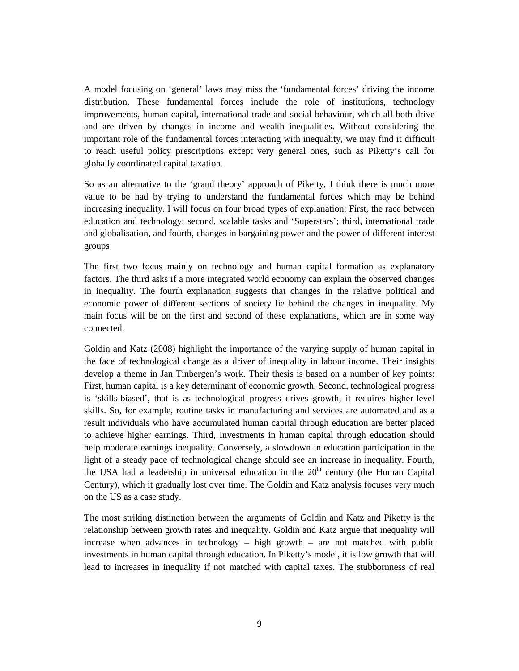A model focusing on 'general' laws may miss the 'fundamental forces' driving the income distribution. These fundamental forces include the role of institutions, technology improvements, human capital, international trade and social behaviour, which all both drive and are driven by changes in income and wealth inequalities. Without considering the important role of the fundamental forces interacting with inequality, we may find it difficult to reach useful policy prescriptions except very general ones, such as Piketty's call for globally coordinated capital taxation.

So as an alternative to the 'grand theory' approach of Piketty, I think there is much more value to be had by trying to understand the fundamental forces which may be behind increasing inequality. I will focus on four broad types of explanation: First, the race between education and technology; second, scalable tasks and 'Superstars'; third, international trade and globalisation, and fourth, changes in bargaining power and the power of different interest groups

The first two focus mainly on technology and human capital formation as explanatory factors. The third asks if a more integrated world economy can explain the observed changes in inequality. The fourth explanation suggests that changes in the relative political and economic power of different sections of society lie behind the changes in inequality. My main focus will be on the first and second of these explanations, which are in some way connected.

Goldin and Katz (2008) highlight the importance of the varying supply of human capital in the face of technological change as a driver of inequality in labour income. Their insights develop a theme in Jan Tinbergen's work. Their thesis is based on a number of key points: First, human capital is a key determinant of economic growth. Second, technological progress is 'skills-biased', that is as technological progress drives growth, it requires higher-level skills. So, for example, routine tasks in manufacturing and services are automated and as a result individuals who have accumulated human capital through education are better placed to achieve higher earnings. Third, Investments in human capital through education should help moderate earnings inequality. Conversely, a slowdown in education participation in the light of a steady pace of technological change should see an increase in inequality. Fourth, the USA had a leadership in universal education in the  $20<sup>th</sup>$  century (the Human Capital Century), which it gradually lost over time. The Goldin and Katz analysis focuses very much on the US as a case study.

The most striking distinction between the arguments of Goldin and Katz and Piketty is the relationship between growth rates and inequality. Goldin and Katz argue that inequality will increase when advances in technology – high growth – are not matched with public investments in human capital through education. In Piketty's model, it is low growth that will lead to increases in inequality if not matched with capital taxes. The stubbornness of real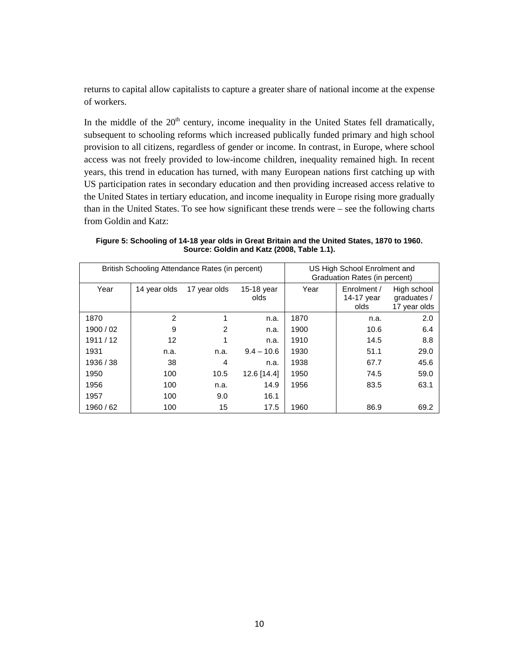returns to capital allow capitalists to capture a greater share of national income at the expense of workers.

In the middle of the  $20<sup>th</sup>$  century, income inequality in the United States fell dramatically, subsequent to schooling reforms which increased publically funded primary and high school provision to all citizens, regardless of gender or income. In contrast, in Europe, where school access was not freely provided to low-income children, inequality remained high. In recent years, this trend in education has turned, with many European nations first catching up with US participation rates in secondary education and then providing increased access relative to the United States in tertiary education, and income inequality in Europe rising more gradually than in the United States. To see how significant these trends were – see the following charts from Goldin and Katz:

**Figure 5: Schooling of 14-18 year olds in Great Britain and the United States, 1870 to 1960. Source: Goldin and Katz (2008, Table 1.1).**

| British Schooling Attendance Rates (in percent) |              |                |                    | US High School Enrolment and<br>Graduation Rates (in percent) |                                   |                                            |
|-------------------------------------------------|--------------|----------------|--------------------|---------------------------------------------------------------|-----------------------------------|--------------------------------------------|
| Year                                            | 14 year olds | 17 year olds   | 15-18 year<br>olds | Year                                                          | Enrolment /<br>14-17 year<br>olds | High school<br>graduates /<br>17 year olds |
| 1870                                            | 2            |                | n.a.               | 1870                                                          | n.a.                              | 2.0                                        |
| 1900 / 02                                       | 9            | $\overline{2}$ | n.a.               | 1900                                                          | 10.6                              | 6.4                                        |
| 1911/12                                         | 12           |                | n.a.               | 1910                                                          | 14.5                              | 8.8                                        |
| 1931                                            | n.a.         | n.a.           | $9.4 - 10.6$       | 1930                                                          | 51.1                              | 29.0                                       |
| 1936 / 38                                       | 38           | 4              | n.a.               | 1938                                                          | 67.7                              | 45.6                                       |
| 1950                                            | 100          | 10.5           | 12.6 [14.4]        | 1950                                                          | 74.5                              | 59.0                                       |
| 1956                                            | 100          | n.a.           | 14.9               | 1956                                                          | 83.5                              | 63.1                                       |
| 1957                                            | 100          | 9.0            | 16.1               |                                                               |                                   |                                            |
| 1960 / 62                                       | 100          | 15             | 17.5               | 1960                                                          | 86.9                              | 69.2                                       |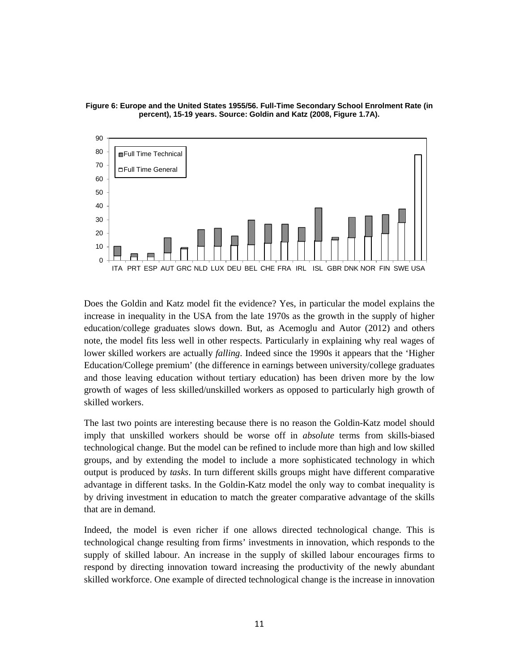

**Figure 6: Europe and the United States 1955/56. Full-Time Secondary School Enrolment Rate (in percent), 15-19 years. Source: Goldin and Katz (2008, Figure 1.7A).**

Does the Goldin and Katz model fit the evidence? Yes, in particular the model explains the increase in inequality in the USA from the late 1970s as the growth in the supply of higher education/college graduates slows down. But, as Acemoglu and Autor (2012) and others note, the model fits less well in other respects. Particularly in explaining why real wages of lower skilled workers are actually *falling*. Indeed since the 1990s it appears that the 'Higher Education/College premium' (the difference in earnings between university/college graduates and those leaving education without tertiary education) has been driven more by the low growth of wages of less skilled/unskilled workers as opposed to particularly high growth of skilled workers.

The last two points are interesting because there is no reason the Goldin-Katz model should imply that unskilled workers should be worse off in *absolute* terms from skills-biased technological change. But the model can be refined to include more than high and low skilled groups, and by extending the model to include a more sophisticated technology in which output is produced by *tasks*. In turn different skills groups might have different comparative advantage in different tasks. In the Goldin-Katz model the only way to combat inequality is by driving investment in education to match the greater comparative advantage of the skills that are in demand.

Indeed, the model is even richer if one allows directed technological change. This is technological change resulting from firms' investments in innovation, which responds to the supply of skilled labour. An increase in the supply of skilled labour encourages firms to respond by directing innovation toward increasing the productivity of the newly abundant skilled workforce. One example of directed technological change is the increase in innovation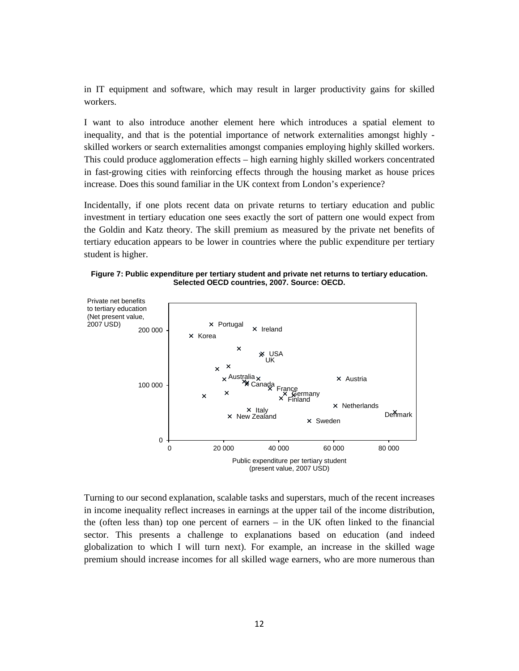in IT equipment and software, which may result in larger productivity gains for skilled workers.

I want to also introduce another element here which introduces a spatial element to inequality, and that is the potential importance of network externalities amongst highly skilled workers or search externalities amongst companies employing highly skilled workers. This could produce agglomeration effects – high earning highly skilled workers concentrated in fast-growing cities with reinforcing effects through the housing market as house prices increase. Does this sound familiar in the UK context from London's experience?

Incidentally, if one plots recent data on private returns to tertiary education and public investment in tertiary education one sees exactly the sort of pattern one would expect from the Goldin and Katz theory. The skill premium as measured by the private net benefits of tertiary education appears to be lower in countries where the public expenditure per tertiary student is higher.

**Figure 7: Public expenditure per tertiary student and private net returns to tertiary education. Selected OECD countries, 2007. Source: OECD.**



Turning to our second explanation, scalable tasks and superstars, much of the recent increases in income inequality reflect increases in earnings at the upper tail of the income distribution, the (often less than) top one percent of earners – in the UK often linked to the financial sector. This presents a challenge to explanations based on education (and indeed globalization to which I will turn next). For example, an increase in the skilled wage premium should increase incomes for all skilled wage earners, who are more numerous than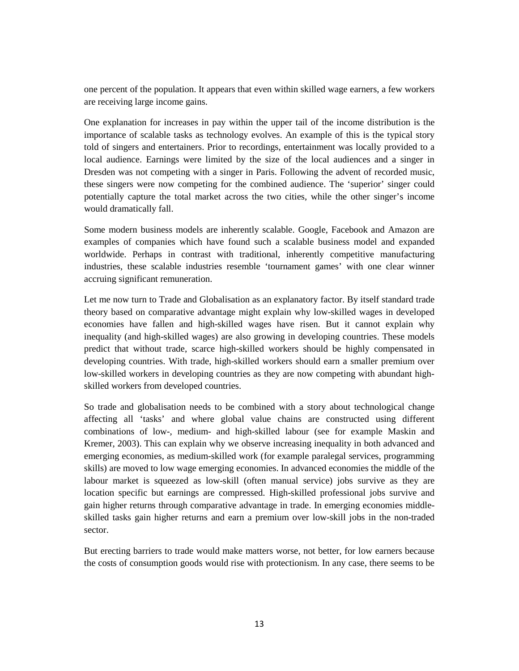one percent of the population. It appears that even within skilled wage earners, a few workers are receiving large income gains.

One explanation for increases in pay within the upper tail of the income distribution is the importance of scalable tasks as technology evolves. An example of this is the typical story told of singers and entertainers. Prior to recordings, entertainment was locally provided to a local audience. Earnings were limited by the size of the local audiences and a singer in Dresden was not competing with a singer in Paris. Following the advent of recorded music, these singers were now competing for the combined audience. The 'superior' singer could potentially capture the total market across the two cities, while the other singer's income would dramatically fall.

Some modern business models are inherently scalable. Google, Facebook and Amazon are examples of companies which have found such a scalable business model and expanded worldwide. Perhaps in contrast with traditional, inherently competitive manufacturing industries, these scalable industries resemble 'tournament games' with one clear winner accruing significant remuneration.

Let me now turn to Trade and Globalisation as an explanatory factor. By itself standard trade theory based on comparative advantage might explain why low-skilled wages in developed economies have fallen and high-skilled wages have risen. But it cannot explain why inequality (and high-skilled wages) are also growing in developing countries. These models predict that without trade, scarce high-skilled workers should be highly compensated in developing countries. With trade, high-skilled workers should earn a smaller premium over low-skilled workers in developing countries as they are now competing with abundant highskilled workers from developed countries.

So trade and globalisation needs to be combined with a story about technological change affecting all 'tasks' and where global value chains are constructed using different combinations of low-, medium- and high-skilled labour (see for example Maskin and Kremer, 2003). This can explain why we observe increasing inequality in both advanced and emerging economies, as medium-skilled work (for example paralegal services, programming skills) are moved to low wage emerging economies. In advanced economies the middle of the labour market is squeezed as low-skill (often manual service) jobs survive as they are location specific but earnings are compressed. High-skilled professional jobs survive and gain higher returns through comparative advantage in trade. In emerging economies middleskilled tasks gain higher returns and earn a premium over low-skill jobs in the non-traded sector.

But erecting barriers to trade would make matters worse, not better, for low earners because the costs of consumption goods would rise with protectionism. In any case, there seems to be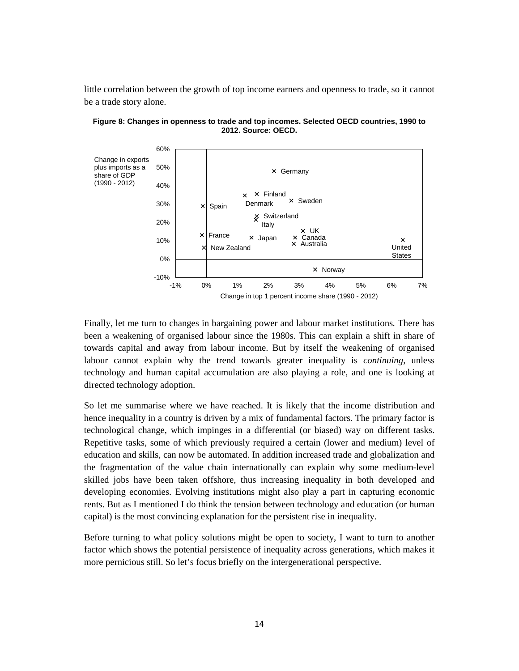little correlation between the growth of top income earners and openness to trade, so it cannot be a trade story alone.



**Figure 8: Changes in openness to trade and top incomes. Selected OECD countries, 1990 to 2012. Source: OECD.**

Finally, let me turn to changes in bargaining power and labour market institutions. There has been a weakening of organised labour since the 1980s. This can explain a shift in share of towards capital and away from labour income. But by itself the weakening of organised labour cannot explain why the trend towards greater inequality is *continuing*, unless technology and human capital accumulation are also playing a role, and one is looking at directed technology adoption.

So let me summarise where we have reached. It is likely that the income distribution and hence inequality in a country is driven by a mix of fundamental factors. The primary factor is technological change, which impinges in a differential (or biased) way on different tasks. Repetitive tasks, some of which previously required a certain (lower and medium) level of education and skills, can now be automated. In addition increased trade and globalization and the fragmentation of the value chain internationally can explain why some medium-level skilled jobs have been taken offshore, thus increasing inequality in both developed and developing economies. Evolving institutions might also play a part in capturing economic rents. But as I mentioned I do think the tension between technology and education (or human capital) is the most convincing explanation for the persistent rise in inequality.

Before turning to what policy solutions might be open to society, I want to turn to another factor which shows the potential persistence of inequality across generations, which makes it more pernicious still. So let's focus briefly on the intergenerational perspective.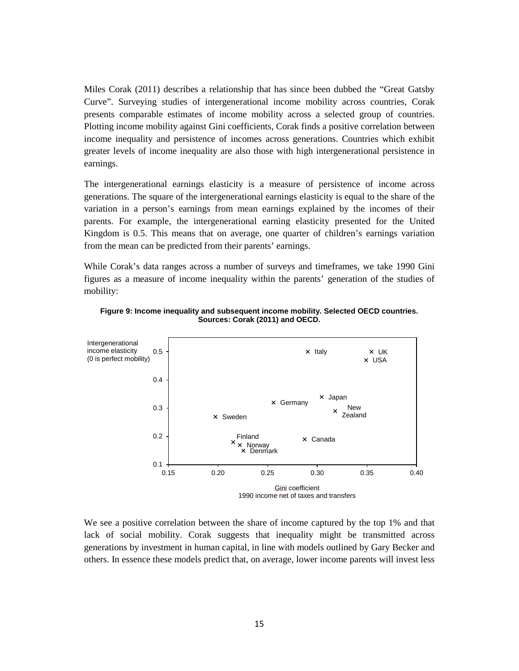Miles Corak (2011) describes a relationship that has since been dubbed the "Great Gatsby Curve". Surveying studies of intergenerational income mobility across countries, Corak presents comparable estimates of income mobility across a selected group of countries. Plotting income mobility against Gini coefficients, Corak finds a positive correlation between income inequality and persistence of incomes across generations. Countries which exhibit greater levels of income inequality are also those with high intergenerational persistence in earnings.

The intergenerational earnings elasticity is a measure of persistence of income across generations. The square of the intergenerational earnings elasticity is equal to the share of the variation in a person's earnings from mean earnings explained by the incomes of their parents. For example, the intergenerational earning elasticity presented for the United Kingdom is 0.5. This means that on average, one quarter of children's earnings variation from the mean can be predicted from their parents' earnings.

While Corak's data ranges across a number of surveys and timeframes, we take 1990 Gini figures as a measure of income inequality within the parents' generation of the studies of mobility:





We see a positive correlation between the share of income captured by the top 1% and that lack of social mobility. Corak suggests that inequality might be transmitted across generations by investment in human capital, in line with models outlined by Gary Becker and others. In essence these models predict that, on average, lower income parents will invest less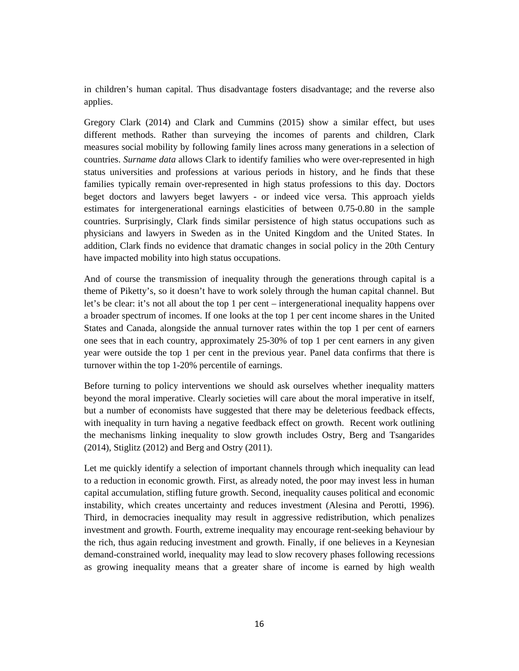in children's human capital. Thus disadvantage fosters disadvantage; and the reverse also applies.

Gregory Clark (2014) and Clark and Cummins (2015) show a similar effect, but uses different methods. Rather than surveying the incomes of parents and children, Clark measures social mobility by following family lines across many generations in a selection of countries. *Surname data* allows Clark to identify families who were over-represented in high status universities and professions at various periods in history, and he finds that these families typically remain over-represented in high status professions to this day. Doctors beget doctors and lawyers beget lawyers - or indeed vice versa. This approach yields estimates for intergenerational earnings elasticities of between 0.75-0.80 in the sample countries. Surprisingly, Clark finds similar persistence of high status occupations such as physicians and lawyers in Sweden as in the United Kingdom and the United States. In addition, Clark finds no evidence that dramatic changes in social policy in the 20th Century have impacted mobility into high status occupations.

And of course the transmission of inequality through the generations through capital is a theme of Piketty's, so it doesn't have to work solely through the human capital channel. But let's be clear: it's not all about the top 1 per cent – intergenerational inequality happens over a broader spectrum of incomes. If one looks at the top 1 per cent income shares in the United States and Canada, alongside the annual turnover rates within the top 1 per cent of earners one sees that in each country, approximately 25-30% of top 1 per cent earners in any given year were outside the top 1 per cent in the previous year. Panel data confirms that there is turnover within the top 1-20% percentile of earnings.

Before turning to policy interventions we should ask ourselves whether inequality matters beyond the moral imperative. Clearly societies will care about the moral imperative in itself, but a number of economists have suggested that there may be deleterious feedback effects, with inequality in turn having a negative feedback effect on growth. Recent work outlining the mechanisms linking inequality to slow growth includes Ostry, Berg and Tsangarides (2014), Stiglitz (2012) and Berg and Ostry (2011).

Let me quickly identify a selection of important channels through which inequality can lead to a reduction in economic growth. First, as already noted, the poor may invest less in human capital accumulation, stifling future growth. Second, inequality causes political and economic instability, which creates uncertainty and reduces investment (Alesina and Perotti, 1996). Third, in democracies inequality may result in aggressive redistribution, which penalizes investment and growth. Fourth, extreme inequality may encourage rent-seeking behaviour by the rich, thus again reducing investment and growth. Finally, if one believes in a Keynesian demand-constrained world, inequality may lead to slow recovery phases following recessions as growing inequality means that a greater share of income is earned by high wealth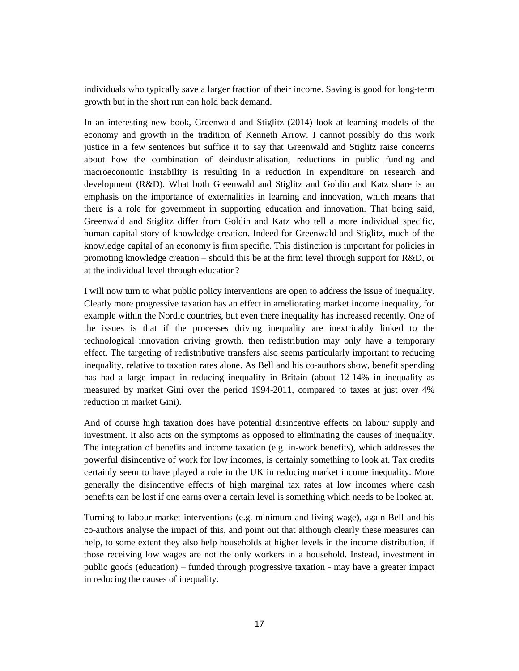individuals who typically save a larger fraction of their income. Saving is good for long-term growth but in the short run can hold back demand.

In an interesting new book, Greenwald and Stiglitz (2014) look at learning models of the economy and growth in the tradition of Kenneth Arrow. I cannot possibly do this work justice in a few sentences but suffice it to say that Greenwald and Stiglitz raise concerns about how the combination of deindustrialisation, reductions in public funding and macroeconomic instability is resulting in a reduction in expenditure on research and development (R&D). What both Greenwald and Stiglitz and Goldin and Katz share is an emphasis on the importance of externalities in learning and innovation, which means that there is a role for government in supporting education and innovation. That being said, Greenwald and Stiglitz differ from Goldin and Katz who tell a more individual specific, human capital story of knowledge creation. Indeed for Greenwald and Stiglitz, much of the knowledge capital of an economy is firm specific. This distinction is important for policies in promoting knowledge creation – should this be at the firm level through support for R&D, or at the individual level through education?

I will now turn to what public policy interventions are open to address the issue of inequality. Clearly more progressive taxation has an effect in ameliorating market income inequality, for example within the Nordic countries, but even there inequality has increased recently. One of the issues is that if the processes driving inequality are inextricably linked to the technological innovation driving growth, then redistribution may only have a temporary effect. The targeting of redistributive transfers also seems particularly important to reducing inequality, relative to taxation rates alone. As Bell and his co-authors show, benefit spending has had a large impact in reducing inequality in Britain (about 12-14% in inequality as measured by market Gini over the period 1994-2011, compared to taxes at just over 4% reduction in market Gini).

And of course high taxation does have potential disincentive effects on labour supply and investment. It also acts on the symptoms as opposed to eliminating the causes of inequality. The integration of benefits and income taxation (e.g. in-work benefits), which addresses the powerful disincentive of work for low incomes, is certainly something to look at. Tax credits certainly seem to have played a role in the UK in reducing market income inequality. More generally the disincentive effects of high marginal tax rates at low incomes where cash benefits can be lost if one earns over a certain level is something which needs to be looked at.

Turning to labour market interventions (e.g. minimum and living wage), again Bell and his co-authors analyse the impact of this, and point out that although clearly these measures can help, to some extent they also help households at higher levels in the income distribution, if those receiving low wages are not the only workers in a household. Instead, investment in public goods (education) – funded through progressive taxation - may have a greater impact in reducing the causes of inequality.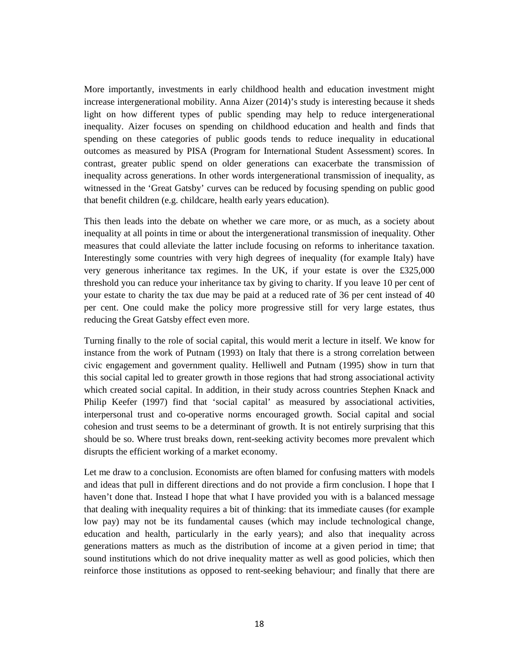More importantly, investments in early childhood health and education investment might increase intergenerational mobility. Anna Aizer (2014)'s study is interesting because it sheds light on how different types of public spending may help to reduce intergenerational inequality. Aizer focuses on spending on childhood education and health and finds that spending on these categories of public goods tends to reduce inequality in educational outcomes as measured by PISA (Program for International Student Assessment) scores. In contrast, greater public spend on older generations can exacerbate the transmission of inequality across generations. In other words intergenerational transmission of inequality, as witnessed in the 'Great Gatsby' curves can be reduced by focusing spending on public good that benefit children (e.g. childcare, health early years education).

This then leads into the debate on whether we care more, or as much, as a society about inequality at all points in time or about the intergenerational transmission of inequality. Other measures that could alleviate the latter include focusing on reforms to inheritance taxation. Interestingly some countries with very high degrees of inequality (for example Italy) have very generous inheritance tax regimes. In the UK, if your estate is over the £325,000 threshold you can reduce your inheritance tax by giving to charity. If you leave 10 per cent of your estate to charity the tax due may be paid at a reduced rate of 36 per cent instead of 40 per cent. One could make the policy more progressive still for very large estates, thus reducing the Great Gatsby effect even more.

Turning finally to the role of social capital, this would merit a lecture in itself. We know for instance from the work of Putnam (1993) on Italy that there is a strong correlation between civic engagement and government quality. Helliwell and Putnam (1995) show in turn that this social capital led to greater growth in those regions that had strong associational activity which created social capital. In addition, in their study across countries Stephen Knack and Philip Keefer (1997) find that 'social capital' as measured by associational activities, interpersonal trust and co-operative norms encouraged growth. Social capital and social cohesion and trust seems to be a determinant of growth. It is not entirely surprising that this should be so. Where trust breaks down, rent-seeking activity becomes more prevalent which disrupts the efficient working of a market economy.

Let me draw to a conclusion. Economists are often blamed for confusing matters with models and ideas that pull in different directions and do not provide a firm conclusion. I hope that I haven't done that. Instead I hope that what I have provided you with is a balanced message that dealing with inequality requires a bit of thinking: that its immediate causes (for example low pay) may not be its fundamental causes (which may include technological change, education and health, particularly in the early years); and also that inequality across generations matters as much as the distribution of income at a given period in time; that sound institutions which do not drive inequality matter as well as good policies, which then reinforce those institutions as opposed to rent-seeking behaviour; and finally that there are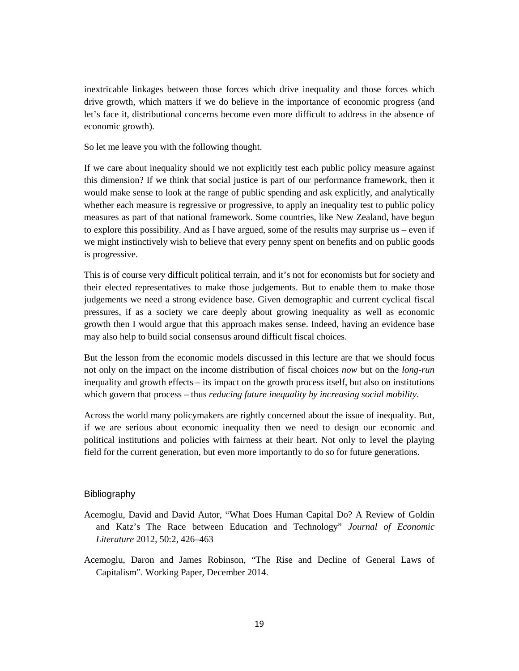inextricable linkages between those forces which drive inequality and those forces which drive growth, which matters if we do believe in the importance of economic progress (and let's face it, distributional concerns become even more difficult to address in the absence of economic growth).

So let me leave you with the following thought.

If we care about inequality should we not explicitly test each public policy measure against this dimension? If we think that social justice is part of our performance framework, then it would make sense to look at the range of public spending and ask explicitly, and analytically whether each measure is regressive or progressive, to apply an inequality test to public policy measures as part of that national framework. Some countries, like New Zealand, have begun to explore this possibility. And as I have argued, some of the results may surprise us – even if we might instinctively wish to believe that every penny spent on benefits and on public goods is progressive.

This is of course very difficult political terrain, and it's not for economists but for society and their elected representatives to make those judgements. But to enable them to make those judgements we need a strong evidence base. Given demographic and current cyclical fiscal pressures, if as a society we care deeply about growing inequality as well as economic growth then I would argue that this approach makes sense. Indeed, having an evidence base may also help to build social consensus around difficult fiscal choices.

But the lesson from the economic models discussed in this lecture are that we should focus not only on the impact on the income distribution of fiscal choices *now* but on the *long-run* inequality and growth effects – its impact on the growth process itself, but also on institutions which govern that process – thus *reducing future inequality by increasing social mobility*.

Across the world many policymakers are rightly concerned about the issue of inequality. But, if we are serious about economic inequality then we need to design our economic and political institutions and policies with fairness at their heart. Not only to level the playing field for the current generation, but even more importantly to do so for future generations.

## Bibliography

- Acemoglu, David and David Autor, "What Does Human Capital Do? A Review of Goldin and Katz's The Race between Education and Technology" *Journal of Economic Literature* 2012, 50:2, 426–463
- Acemoglu, Daron and James Robinson, "The Rise and Decline of General Laws of Capitalism". Working Paper, December 2014.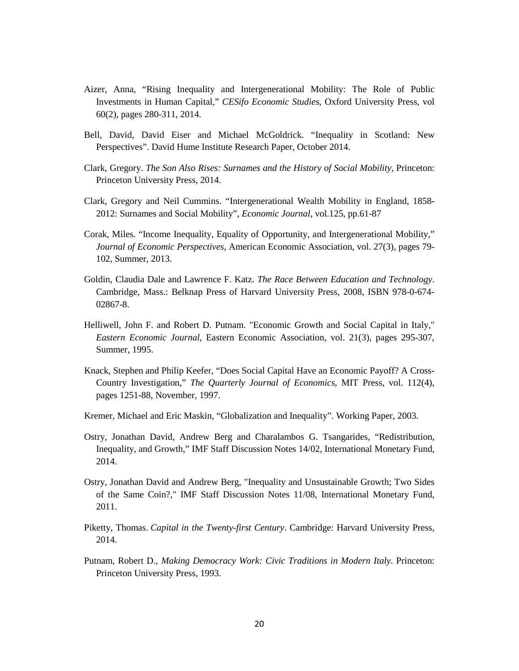- Aizer, Anna, "Rising Inequality and Intergenerational Mobility: The Role of Public Investments in Human Capital," *CESifo Economic Studies*, Oxford University Press, vol 60(2), pages 280-311, 2014.
- Bell, David, David Eiser and Michael McGoldrick. "Inequality in Scotland: New Perspectives". David Hume Institute Research Paper, October 2014.
- Clark, Gregory. *The Son Also Rises: Surnames and the History of Social Mobility*, Princeton: Princeton University Press, 2014.
- Clark, Gregory and Neil Cummins. "Intergenerational Wealth Mobility in England, 1858- 2012: Surnames and Social Mobility", *Economic Journal*, vol.125, pp.61-87
- Corak, Miles. "Income Inequality, Equality of Opportunity, and Intergenerational Mobility," *Journal of Economic Perspectives*, American Economic Association, vol. 27(3), pages 79- 102, Summer, 2013.
- Goldin, Claudia Dale and Lawrence F. Katz. *The Race Between Education and Technology*. Cambridge, Mass.: Belknap Press of Harvard University Press, 2008, ISBN 978-0-674- 02867-8.
- Helliwell, John F. and Robert D. Putnam. "Economic Growth and Social Capital in Italy," *Eastern Economic Journal*, Eastern Economic Association, vol. 21(3), pages 295-307, Summer, 1995.
- Knack, Stephen and Philip Keefer, "Does Social Capital Have an Economic Payoff? A Cross-Country Investigation," *The Quarterly Journal of Economics*, MIT Press, vol. 112(4), pages 1251-88, November, 1997.
- Kremer, Michael and Eric Maskin, "Globalization and Inequality". Working Paper, 2003.
- Ostry, Jonathan David, Andrew Berg and Charalambos G. Tsangarides, "Redistribution, Inequality, and Growth," IMF Staff Discussion Notes 14/02, International Monetary Fund, 2014.
- Ostry, Jonathan David and Andrew Berg, "Inequality and Unsustainable Growth; Two Sides of the Same Coin?," IMF Staff Discussion Notes 11/08, International Monetary Fund, 2011.
- Piketty, Thomas. *Capital in the Twenty-first Century*. Cambridge: Harvard University Press, 2014.
- Putnam, Robert D., *Making Democracy Work: Civic Traditions in Modern Italy*. Princeton: Princeton University Press, 1993.